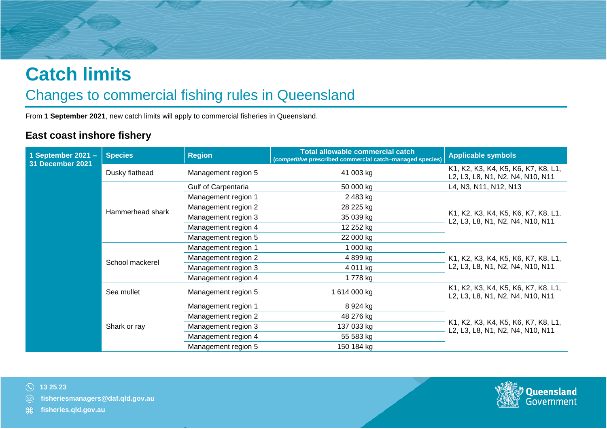# **Catch limits**

## Changes to commercial fishing rules in Queensland

From **1 September 2021**, new catch limits will apply to commercial fisheries in Queensland.

#### **East coast inshore fishery**

| 1 September 2021 $-$<br>31 December 2021 | <b>Species</b>   | <b>Region</b>              | <b>Total allowable commercial catch</b><br>(competitive prescribed commercial catch-managed species) | <b>Applicable symbols</b>                                               |
|------------------------------------------|------------------|----------------------------|------------------------------------------------------------------------------------------------------|-------------------------------------------------------------------------|
|                                          | Dusky flathead   | Management region 5        | 41 003 kg                                                                                            | K1, K2, K3, K4, K5, K6, K7, K8, L1,<br>L2, L3, L8, N1, N2, N4, N10, N11 |
|                                          |                  | <b>Gulf of Carpentaria</b> | 50 000 kg                                                                                            | L4, N3, N11, N12, N13                                                   |
|                                          |                  | Management region 1        | 2483 kg                                                                                              |                                                                         |
|                                          | Hammerhead shark | Management region 2        | 28 225 kg                                                                                            |                                                                         |
|                                          |                  | Management region 3        | 35 039 kg                                                                                            | K1, K2, K3, K4, K5, K6, K7, K8, L1,<br>L2, L3, L8, N1, N2, N4, N10, N11 |
|                                          |                  | Management region 4        | 12 252 kg                                                                                            |                                                                         |
|                                          |                  | Management region 5        | 22 000 kg                                                                                            |                                                                         |
|                                          | School mackerel  | Management region 1        | 1 000 kg                                                                                             | K1, K2, K3, K4, K5, K6, K7, K8, L1,<br>L2, L3, L8, N1, N2, N4, N10, N11 |
|                                          |                  | Management region 2        | 4 899 kg                                                                                             |                                                                         |
|                                          |                  | Management region 3        | 4 011 kg                                                                                             |                                                                         |
|                                          |                  | Management region 4        | 1 778 kg                                                                                             |                                                                         |
|                                          | Sea mullet       | Management region 5        | 1 614 000 kg                                                                                         | K1, K2, K3, K4, K5, K6, K7, K8, L1,<br>L2, L3, L8, N1, N2, N4, N10, N11 |
|                                          | Shark or ray     | Management region 1        | 8 924 kg                                                                                             |                                                                         |
|                                          |                  | Management region 2        | 48 276 kg                                                                                            |                                                                         |
|                                          |                  | Management region 3        | 137 033 kg                                                                                           | K1, K2, K3, K4, K5, K6, K7, K8, L1,<br>L2, L3, L8, N1, N2, N4, N10, N11 |
|                                          |                  | Management region 4        | 55 583 kg                                                                                            |                                                                         |
|                                          |                  | Management region 5        | 150 184 kg                                                                                           |                                                                         |



**[fisheries.qld.gov.au](https://www.daf.qld.gov.au/business-priorities/fisheries)**

⊕

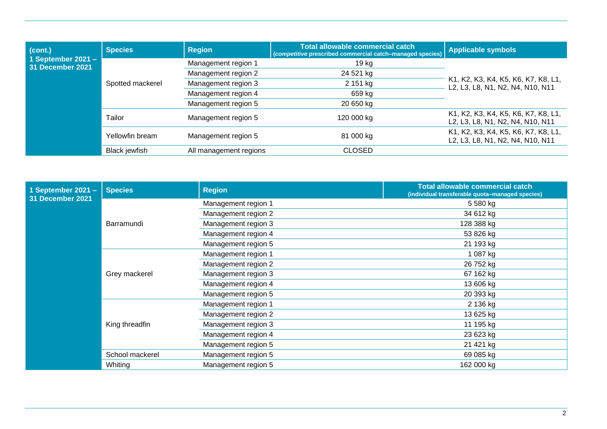| (cont.)<br>1 September 2021 $-$<br><b>31 December 2021</b> | <b>Species</b>       | <b>Region</b>          | Total allowable commercial catch<br>(competitive prescribed commercial catch-managed species) | <b>Applicable symbols</b>                                               |  |
|------------------------------------------------------------|----------------------|------------------------|-----------------------------------------------------------------------------------------------|-------------------------------------------------------------------------|--|
|                                                            | Spotted mackerel     | Management region 1    | 19 kg                                                                                         |                                                                         |  |
|                                                            |                      | Management region 2    | 24 521 kg                                                                                     |                                                                         |  |
|                                                            |                      | Management region 3    | 2 151 kg                                                                                      | K1, K2, K3, K4, K5, K6, K7, K8, L1,<br>L2, L3, L8, N1, N2, N4, N10, N11 |  |
|                                                            |                      | Management region 4    | 659 kg                                                                                        |                                                                         |  |
|                                                            |                      | Management region 5    | 20 650 kg                                                                                     |                                                                         |  |
|                                                            | Tailor               | Management region 5    | 120 000 kg                                                                                    | K1, K2, K3, K4, K5, K6, K7, K8, L1,<br>L2, L3, L8, N1, N2, N4, N10, N11 |  |
|                                                            | Yellowfin bream      | Management region 5    | 81 000 kg                                                                                     | K1, K2, K3, K4, K5, K6, K7, K8, L1,<br>L2, L3, L8, N1, N2, N4, N10, N11 |  |
|                                                            | <b>Black jewfish</b> | All management regions | <b>CLOSED</b>                                                                                 |                                                                         |  |

| 1 September 2021 $-$<br>31 December 2021 | <b>Species</b>  | <b>Region</b>       | <b>Total allowable commercial catch</b><br>(individual transferable quota-managed species) |
|------------------------------------------|-----------------|---------------------|--------------------------------------------------------------------------------------------|
|                                          |                 | Management region 1 | 5 580 kg                                                                                   |
|                                          |                 | Management region 2 | 34 612 kg                                                                                  |
|                                          | Barramundi      | Management region 3 | 128 388 kg                                                                                 |
|                                          |                 | Management region 4 | 53 826 kg                                                                                  |
|                                          |                 | Management region 5 | 21 193 kg                                                                                  |
|                                          |                 | Management region 1 | 1 087 kg                                                                                   |
|                                          |                 | Management region 2 | 26 752 kg                                                                                  |
|                                          | Grey mackerel   | Management region 3 | 67 162 kg                                                                                  |
|                                          |                 | Management region 4 | 13 606 kg                                                                                  |
|                                          |                 | Management region 5 | 20 393 kg                                                                                  |
|                                          |                 | Management region 1 | 2 136 kg                                                                                   |
|                                          |                 | Management region 2 | 13 625 kg                                                                                  |
|                                          | King threadfin  | Management region 3 | 11 195 kg                                                                                  |
|                                          |                 | Management region 4 | 23 623 kg                                                                                  |
|                                          |                 | Management region 5 | 21 421 kg                                                                                  |
|                                          | School mackerel | Management region 5 | 69 085 kg                                                                                  |
|                                          | Whiting         | Management region 5 | 162 000 kg                                                                                 |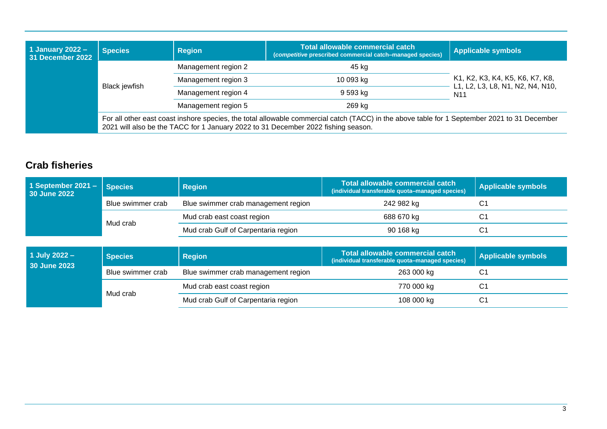| 1 January 2022 $-$<br><b>Species</b><br>31 December 2022<br><b>Black jewfish</b> |                                                                                                                                                                                                                                   | <b>Region</b>       | Total allowable commercial catch<br>(competitive prescribed commercial catch-managed species) | <b>Applicable symbols</b>                                                              |
|----------------------------------------------------------------------------------|-----------------------------------------------------------------------------------------------------------------------------------------------------------------------------------------------------------------------------------|---------------------|-----------------------------------------------------------------------------------------------|----------------------------------------------------------------------------------------|
|                                                                                  |                                                                                                                                                                                                                                   | Management region 2 | 45 kg                                                                                         | K1, K2, K3, K4, K5, K6, K7, K8,<br>L1, L2, L3, L8, N1, N2, N4, N10,<br>N <sub>11</sub> |
|                                                                                  |                                                                                                                                                                                                                                   | Management region 3 | 10 093 kg                                                                                     |                                                                                        |
|                                                                                  |                                                                                                                                                                                                                                   | Management region 4 | 9 593 kg                                                                                      |                                                                                        |
|                                                                                  |                                                                                                                                                                                                                                   | Management region 5 | 269 kg                                                                                        |                                                                                        |
|                                                                                  | For all other east coast inshore species, the total allowable commercial catch (TACC) in the above table for 1 September 2021 to 31 December<br>2021 will also be the TACC for 1 January 2022 to 31 December 2022 fishing season. |                     |                                                                                               |                                                                                        |

#### **Crab fisheries**

| 1 September 2021 - Species<br>30 June 2022 |                   | <b>Region</b>                       | Total allowable commercial catch<br>(individual transferable quota-managed species) | <b>Applicable symbols</b> |
|--------------------------------------------|-------------------|-------------------------------------|-------------------------------------------------------------------------------------|---------------------------|
|                                            | Blue swimmer crab | Blue swimmer crab management region | 242 982 kg                                                                          |                           |
|                                            | Mud crab          | Mud crab east coast region          | 688 670 kg                                                                          |                           |
|                                            |                   | Mud crab Gulf of Carpentaria region | 90 168 kg                                                                           | C1                        |

| 1 July 2022 $-$<br>30 June 2023 | <b>Species</b>    | <b>Region</b>                       | Total allowable commercial catch<br>(individual transferable quota-managed species) | <b>Applicable symbols</b> |
|---------------------------------|-------------------|-------------------------------------|-------------------------------------------------------------------------------------|---------------------------|
|                                 | Blue swimmer crab | Blue swimmer crab management region | 263 000 kg                                                                          | C1                        |
|                                 | Mud crab          | Mud crab east coast region          | 770 000 kg                                                                          |                           |
|                                 |                   | Mud crab Gulf of Carpentaria region | 108 000 kg                                                                          | C1                        |